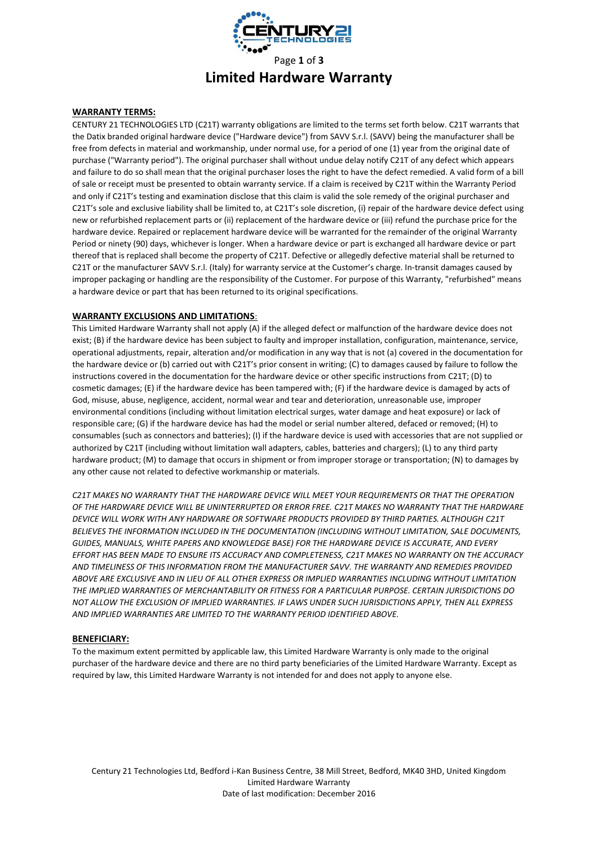

# **Limited Hardware Warranty**

## **WARRANTY TERMS:**

CENTURY 21 TECHNOLOGIES LTD (C21T) warranty obligations are limited to the terms set forth below. C21T warrants that the Datix branded original hardware device ("Hardware device") from SAVV S.r.l. (SAVV) being the manufacturer shall be free from defects in material and workmanship, under normal use, for a period of one (1) year from the original date of purchase ("Warranty period"). The original purchaser shall without undue delay notify C21T of any defect which appears and failure to do so shall mean that the original purchaser loses the right to have the defect remedied. A valid form of a bill of sale or receipt must be presented to obtain warranty service. If a claim is received by C21T within the Warranty Period and only if C21T's testing and examination disclose that this claim is valid the sole remedy of the original purchaser and C21T's sole and exclusive liability shall be limited to, at C21T's sole discretion, (i) repair of the hardware device defect using new or refurbished replacement parts or (ii) replacement of the hardware device or (iii) refund the purchase price for the hardware device. Repaired or replacement hardware device will be warranted for the remainder of the original Warranty Period or ninety (90) days, whichever is longer. When a hardware device or part is exchanged all hardware device or part thereof that is replaced shall become the property of C21T. Defective or allegedly defective material shall be returned to C21T or the manufacturer SAVV S.r.l. (Italy) for warranty service at the Customer's charge. In-transit damages caused by improper packaging or handling are the responsibility of the Customer. For purpose of this Warranty, "refurbished" means a hardware device or part that has been returned to its original specifications.

### **WARRANTY EXCLUSIONS AND LIMITATIONS**:

This Limited Hardware Warranty shall not apply (A) if the alleged defect or malfunction of the hardware device does not exist; (B) if the hardware device has been subject to faulty and improper installation, configuration, maintenance, service, operational adjustments, repair, alteration and/or modification in any way that is not (a) covered in the documentation for the hardware device or (b) carried out with C21T's prior consent in writing; (C) to damages caused by failure to follow the instructions covered in the documentation for the hardware device or other specific instructions from C21T; (D) to cosmetic damages; (E) if the hardware device has been tampered with; (F) if the hardware device is damaged by acts of God, misuse, abuse, negligence, accident, normal wear and tear and deterioration, unreasonable use, improper environmental conditions (including without limitation electrical surges, water damage and heat exposure) or lack of responsible care; (G) if the hardware device has had the model or serial number altered, defaced or removed; (H) to consumables (such as connectors and batteries); (I) if the hardware device is used with accessories that are not supplied or authorized by C21T (including without limitation wall adapters, cables, batteries and chargers); (L) to any third party hardware product; (M) to damage that occurs in shipment or from improper storage or transportation; (N) to damages by any other cause not related to defective workmanship or materials.

*C21T MAKES NO WARRANTY THAT THE HARDWARE DEVICE WILL MEET YOUR REQUIREMENTS OR THAT THE OPERATION OF THE HARDWARE DEVICE WILL BE UNINTERRUPTED OR ERROR FREE. C21T MAKES NO WARRANTY THAT THE HARDWARE DEVICE WILL WORK WITH ANY HARDWARE OR SOFTWARE PRODUCTS PROVIDED BY THIRD PARTIES. ALTHOUGH C21T BELIEVES THE INFORMATION INCLUDED IN THE DOCUMENTATION (INCLUDING WITHOUT LIMITATION, SALE DOCUMENTS, GUIDES, MANUALS, WHITE PAPERS AND KNOWLEDGE BASE) FOR THE HARDWARE DEVICE IS ACCURATE, AND EVERY EFFORT HAS BEEN MADE TO ENSURE ITS ACCURACY AND COMPLETENESS, C21T MAKES NO WARRANTY ON THE ACCURACY AND TIMELINESS OF THIS INFORMATION FROM THE MANUFACTURER SAVV. THE WARRANTY AND REMEDIES PROVIDED ABOVE ARE EXCLUSIVE AND IN LIEU OF ALL OTHER EXPRESS OR IMPLIED WARRANTIES INCLUDING WITHOUT LIMITATION THE IMPLIED WARRANTIES OF MERCHANTABILITY OR FITNESS FOR A PARTICULAR PURPOSE. CERTAIN JURISDICTIONS DO NOT ALLOW THE EXCLUSION OF IMPLIED WARRANTIES. IF LAWS UNDER SUCH JURISDICTIONS APPLY, THEN ALL EXPRESS AND IMPLIED WARRANTIES ARE LIMITED TO THE WARRANTY PERIOD IDENTIFIED ABOVE.* 

#### **BENEFICIARY:**

To the maximum extent permitted by applicable law, this Limited Hardware Warranty is only made to the original purchaser of the hardware device and there are no third party beneficiaries of the Limited Hardware Warranty. Except as required by law, this Limited Hardware Warranty is not intended for and does not apply to anyone else.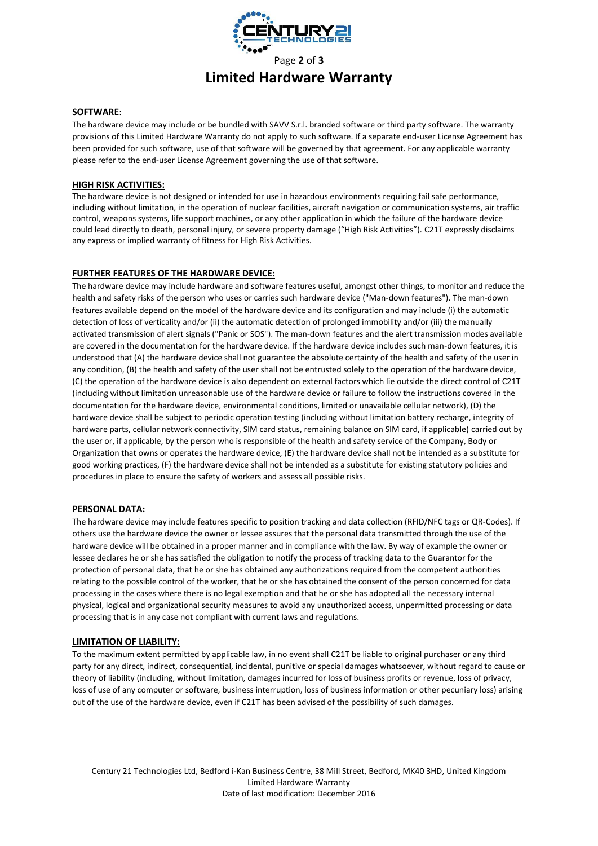

# **Limited Hardware Warranty**

### **SOFTWARE**:

The hardware device may include or be bundled with SAVV S.r.l. branded software or third party software. The warranty provisions of this Limited Hardware Warranty do not apply to such software. If a separate end-user License Agreement has been provided for such software, use of that software will be governed by that agreement. For any applicable warranty please refer to the end-user License Agreement governing the use of that software.

#### **HIGH RISK ACTIVITIES:**

The hardware device is not designed or intended for use in hazardous environments requiring fail safe performance, including without limitation, in the operation of nuclear facilities, aircraft navigation or communication systems, air traffic control, weapons systems, life support machines, or any other application in which the failure of the hardware device could lead directly to death, personal injury, or severe property damage ("High Risk Activities"). C21T expressly disclaims any express or implied warranty of fitness for High Risk Activities.

#### **FURTHER FEATURES OF THE HARDWARE DEVICE:**

The hardware device may include hardware and software features useful, amongst other things, to monitor and reduce the health and safety risks of the person who uses or carries such hardware device ("Man-down features"). The man-down features available depend on the model of the hardware device and its configuration and may include (i) the automatic detection of loss of verticality and/or (ii) the automatic detection of prolonged immobility and/or (iii) the manually activated transmission of alert signals ("Panic or SOS"). The man-down features and the alert transmission modes available are covered in the documentation for the hardware device. If the hardware device includes such man-down features, it is understood that (A) the hardware device shall not guarantee the absolute certainty of the health and safety of the user in any condition, (B) the health and safety of the user shall not be entrusted solely to the operation of the hardware device, (C) the operation of the hardware device is also dependent on external factors which lie outside the direct control of C21T (including without limitation unreasonable use of the hardware device or failure to follow the instructions covered in the documentation for the hardware device, environmental conditions, limited or unavailable cellular network), (D) the hardware device shall be subject to periodic operation testing (including without limitation battery recharge, integrity of hardware parts, cellular network connectivity, SIM card status, remaining balance on SIM card, if applicable) carried out by the user or, if applicable, by the person who is responsible of the health and safety service of the Company, Body or Organization that owns or operates the hardware device, (E) the hardware device shall not be intended as a substitute for good working practices, (F) the hardware device shall not be intended as a substitute for existing statutory policies and procedures in place to ensure the safety of workers and assess all possible risks.

#### **PERSONAL DATA:**

The hardware device may include features specific to position tracking and data collection (RFID/NFC tags or QR-Codes). If others use the hardware device the owner or lessee assures that the personal data transmitted through the use of the hardware device will be obtained in a proper manner and in compliance with the law. By way of example the owner or lessee declares he or she has satisfied the obligation to notify the process of tracking data to the Guarantor for the protection of personal data, that he or she has obtained any authorizations required from the competent authorities relating to the possible control of the worker, that he or she has obtained the consent of the person concerned for data processing in the cases where there is no legal exemption and that he or she has adopted all the necessary internal physical, logical and organizational security measures to avoid any unauthorized access, unpermitted processing or data processing that is in any case not compliant with current laws and regulations.

#### **LIMITATION OF LIABILITY:**

To the maximum extent permitted by applicable law, in no event shall C21T be liable to original purchaser or any third party for any direct, indirect, consequential, incidental, punitive or special damages whatsoever, without regard to cause or theory of liability (including, without limitation, damages incurred for loss of business profits or revenue, loss of privacy, loss of use of any computer or software, business interruption, loss of business information or other pecuniary loss) arising out of the use of the hardware device, even if C21T has been advised of the possibility of such damages.